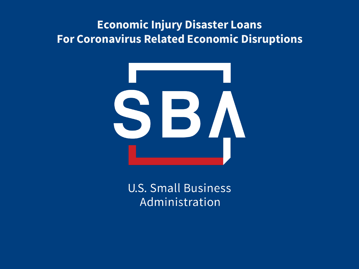#### **Economic Injury Disaster Loans For Coronavirus Related Economic Disruptions**



**U.S. Small Business** Administration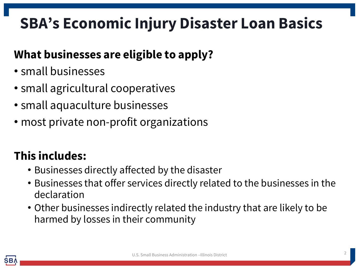# **SBA's Economic Injury Disaster Loan Basics**

### **What businesses are eligible to apply?**

- small businesses
- small agricultural cooperatives
- small aquaculture businesses
- most private non-profit organizations

### **This includes:**

- Businesses directly affected by the disaster
- Businesses that offer services directly related to the businesses in the declaration
- Other businesses indirectly related the industry that are likely to be harmed by losses in their community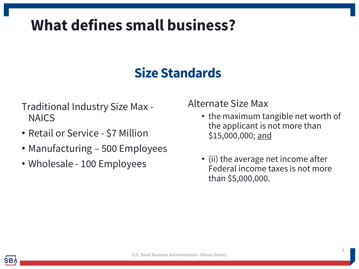## **What defines small business?**

### **Size Standards**

- Traditional Industry Size Max NAICS
- Retail or Service \$7 Million
- Manufacturing 500 Employees
- Wholesale 100 Employees

Alternate Size Max

- the maximum tangible net worth of the applicant is not more than \$15,000,000; and
- (ii) the average net income after Federal income taxes is not more than \$5,000,000.

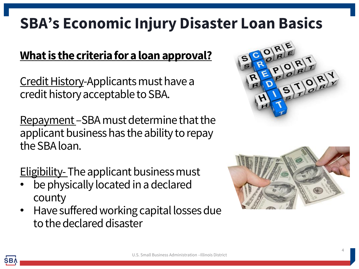## **SBA's Economic Injury Disaster Loan Basics**

#### **What is the criteria for a loan approval?**

Credit History-Applicants must have a credit history acceptable to SBA.

Repayment –SBA must determine that the applicant business has the ability to repay the SBA loan.

**Eligibility-The applicant business must** 

- be physically located in a declared county
- Have suffered working capital losses due to the declared disaster



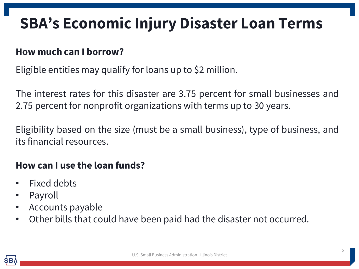## **SBA's Economic Injury Disaster Loan Terms**

#### **How much can I borrow?**

Eligible entities may qualify for loans up to \$2 million.

The interest rates for this disaster are 3.75 percent for small businesses and 2.75 percent for nonprofit organizations with terms up to 30 years.

Eligibility based on the size (must be a small business), type of business, and its financial resources.

#### **How can I use the loan funds?**

- Fixed debts
- **Payroll**
- Accounts payable
- Other bills that could have been paid had the disaster not occurred.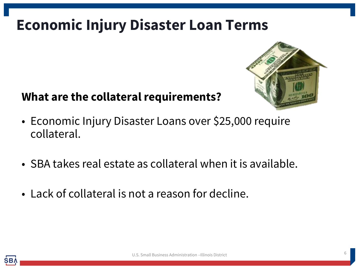## **Economic Injury Disaster Loan Terms**



#### **What are the collateral requirements?**

- Economic Injury Disaster Loans over \$25,000 require collateral.
- SBA takes real estate as collateral when it is available.
- Lack of collateral is not a reason for decline.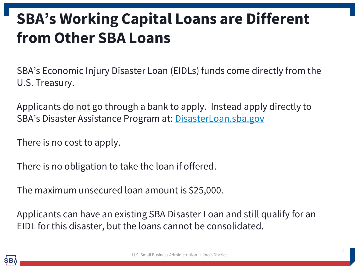# **SBA's Working Capital Loans are Different from Other SBA Loans**

SBA's Economic Injury Disaster Loan (EIDLs) funds come directly from the U.S. Treasury.

Applicants do not go through a bank to apply. Instead apply directly to SBA's Disaster Assistance Program at: [DisasterLoan.sba.gov](https://disasterloan.sba.gov/ela/)

There is no cost to apply.

There is no obligation to take the loan if offered.

The maximum unsecured loan amount is \$25,000.

Applicants can have an existing SBA Disaster Loan and still qualify for an EIDL for this disaster, but the loans cannot be consolidated.

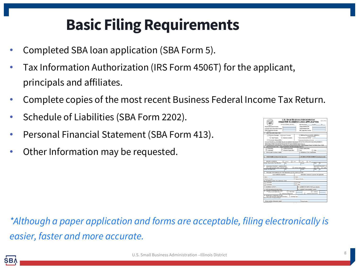# **Basic Filing Requirements**

- Completed SBA loan application (SBA Form 5).
- Tax Information Authorization (IRS Form 4506T) for the applicant, principals and affiliates.
- Complete copies of the most recent Business Federal Income Tax Return.
- Schedule of Liabilities (SBA Form 2202).
- Personal Financial Statement (SBA Form 413).
- Other Information may be requested.



*\*Although a paper application and forms are acceptable, filing electronically is easier, faster and more accurate.*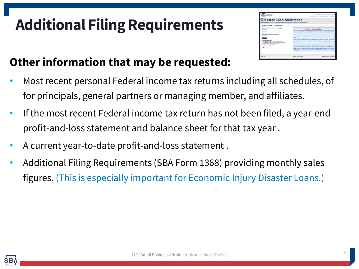# **Additional Filing Requirements**



### **Other information that may be requested:**

- Most recent personal Federal income tax returns including all schedules, of for principals, general partners or managing member, and affiliates.
- If the most recent Federal income tax return has not been filed, a year-end profit-and-loss statement and balance sheet for that tax year .
- A current year-to-date profit-and-loss statement .
- Additional Filing Requirements (SBA Form 1368) providing monthly sales figures. (This is especially important for Economic Injury Disaster Loans.)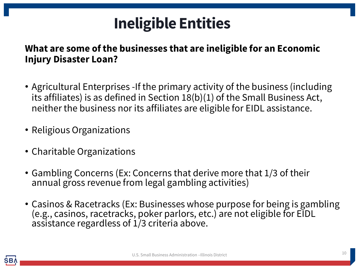## **Ineligible Entities**

#### **What are some of the businesses that are ineligible for an Economic Injury Disaster Loan?**

- Agricultural Enterprises -If the primary activity of the business (including its affiliates) is as defined in Section 18(b)(1) of the Small Business Act, neither the business nor its affiliates are eligible for EIDL assistance.
- Religious Organizations
- Charitable Organizations
- Gambling Concerns (Ex: Concerns that derive more that 1/3 of their annual gross revenue from legal gambling activities)
- Casinos & Racetracks (Ex: Businesses whose purpose for being is gambling (e.g., casinos, racetracks, poker parlors, etc.) are not eligible for EIDL assistance regardless of 1/3 criteria above.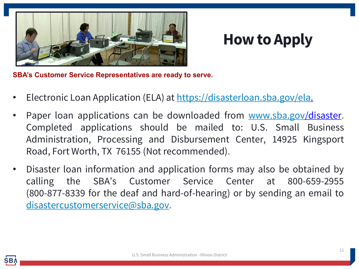

### **How to Apply**

**SBA's Customer Service Representatives are ready to serve.**

- Electronic Loan Application (ELA) at <https://disasterloan.sba.gov/ela>.
- Paper loan applications can be downloaded from [www.sba.gov/](http://www.sba.gov/)disaster. Completed applications should be mailed to: U.S. Small Business Administration, Processing and Disbursement Center, 14925 Kingsport Road, Fort Worth, TX 76155 (Not recommended).
- Disaster loan information and application forms may also be obtained by calling the SBA's Customer Service Center at 800-659-2955 (800-877-8339 for the deaf and hard-of-hearing) or by sending an email to [disastercustomerservice@sba.gov](mailto:disastercustomerservice@sba.gov).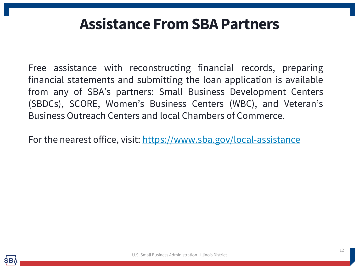### **Assistance From SBA Partners**

Free assistance with reconstructing financial records, preparing financial statements and submitting the loan application is available from any of SBA's partners: Small Business Development Centers (SBDCs), SCORE, Women's Business Centers (WBC), and Veteran's Business Outreach Centers and local Chambers of Commerce.

For the nearest office, visit: <https://www.sba.gov/local-assistance>

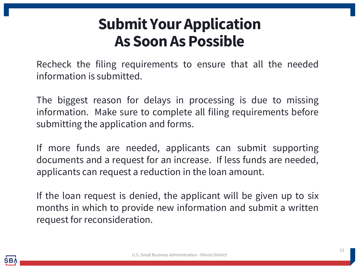## **Submit Your Application As Soon As Possible**

Recheck the filing requirements to ensure that all the needed information is submitted.

The biggest reason for delays in processing is due to missing information. Make sure to complete all filing requirements before submitting the application and forms.

If more funds are needed, applicants can submit supporting documents and a request for an increase. If less funds are needed, applicants can request a reduction in the loan amount.

If the loan request is denied, the applicant will be given up to six months in which to provide new information and submit a written request for reconsideration.